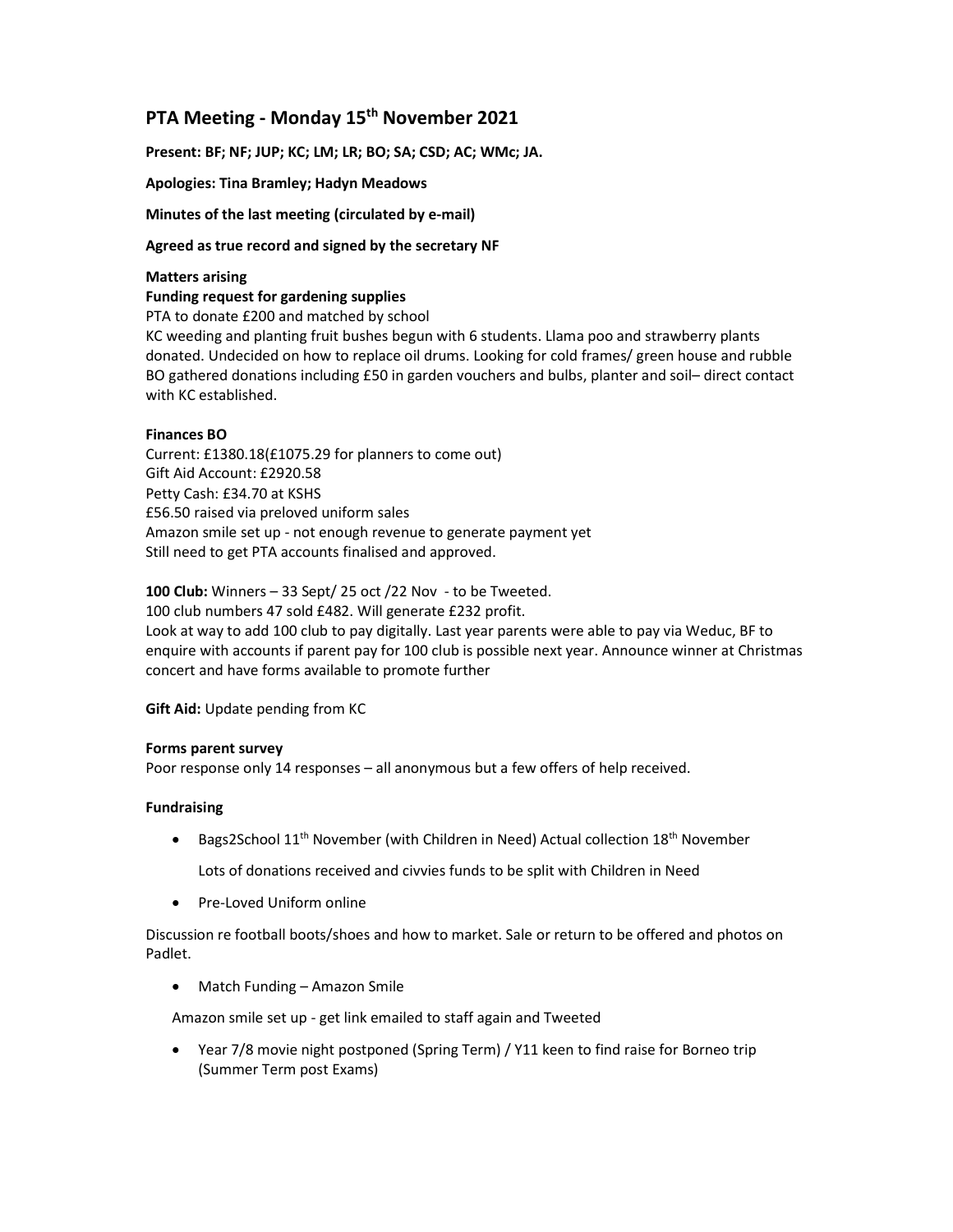# PTA Meeting - Monday 15<sup>th</sup> November 2021

Present: BF; NF; JUP; KC; LM; LR; BO; SA; CSD; AC; WMc; JA.

Apologies: Tina Bramley; Hadyn Meadows

Minutes of the last meeting (circulated by e-mail)

### Agreed as true record and signed by the secretary NF

### Matters arising

Funding request for gardening supplies

PTA to donate £200 and matched by school KC weeding and planting fruit bushes begun with 6 students. Llama poo and strawberry plants donated. Undecided on how to replace oil drums. Looking for cold frames/ green house and rubble BO gathered donations including £50 in garden vouchers and bulbs, planter and soil– direct contact

# Finances BO

with KC established.

Current: £1380.18(£1075.29 for planners to come out) Gift Aid Account: £2920.58 Petty Cash: £34.70 at KSHS £56.50 raised via preloved uniform sales Amazon smile set up - not enough revenue to generate payment yet Still need to get PTA accounts finalised and approved.

100 Club: Winners  $-33$  Sept/ 25 oct /22 Nov - to be Tweeted. 100 club numbers 47 sold £482. Will generate £232 profit. Look at way to add 100 club to pay digitally. Last year parents were able to pay via Weduc, BF to enquire with accounts if parent pay for 100 club is possible next year. Announce winner at Christmas concert and have forms available to promote further

Gift Aid: Update pending from KC

### Forms parent survey

Poor response only 14 responses – all anonymous but a few offers of help received.

### Fundraising

• Bags2School 11<sup>th</sup> November (with Children in Need) Actual collection 18<sup>th</sup> November

Lots of donations received and civvies funds to be split with Children in Need

• Pre-Loved Uniform online

Discussion re football boots/shoes and how to market. Sale or return to be offered and photos on Padlet.

• Match Funding – Amazon Smile

Amazon smile set up - get link emailed to staff again and Tweeted

 Year 7/8 movie night postponed (Spring Term) / Y11 keen to find raise for Borneo trip (Summer Term post Exams)